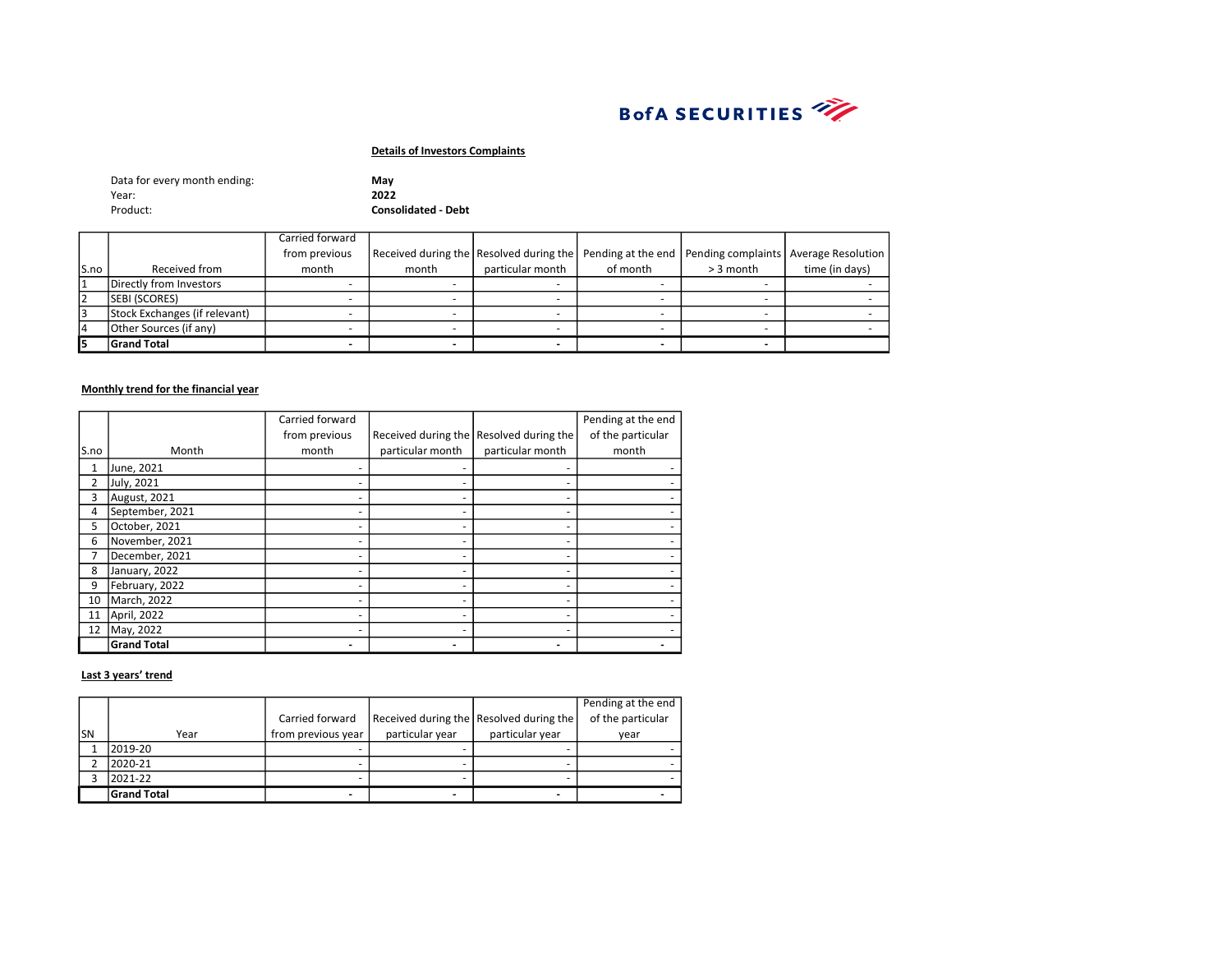

| Data for every month ending: | Mav                        |
|------------------------------|----------------------------|
| Year:                        | 2022                       |
| Product:                     | <b>Consolidated - Debt</b> |

|       |                               | Carried forward |       |                  |          |             |                                                                                                        |
|-------|-------------------------------|-----------------|-------|------------------|----------|-------------|--------------------------------------------------------------------------------------------------------|
|       |                               | from previous   |       |                  |          |             | Received during the Resolved during the   Pending at the end   Pending complaints   Average Resolution |
| ls.no | Received from                 | month           | month | particular month | of month | $>$ 3 month | time (in days)                                                                                         |
|       | Directly from Investors       |                 |       |                  |          |             |                                                                                                        |
| l2    | <b>SEBI (SCORES)</b>          |                 |       |                  |          |             |                                                                                                        |
| l3    | Stock Exchanges (if relevant) |                 |       |                  |          |             |                                                                                                        |
| 14    | Other Sources (if any)        |                 |       |                  |          |             |                                                                                                        |
| l5    | <b>Grand Total</b>            |                 |       |                  |          |             |                                                                                                        |

### Monthly trend for the financial year

|      |                    | Carried forward |                  |                                         | Pending at the end |
|------|--------------------|-----------------|------------------|-----------------------------------------|--------------------|
|      |                    | from previous   |                  | Received during the Resolved during the | of the particular  |
| S.no | Month              | month           | particular month | particular month                        | month              |
| 1    | June, 2021         |                 |                  |                                         |                    |
| 2    | July, 2021         |                 |                  |                                         |                    |
| 3    | August, 2021       |                 |                  |                                         |                    |
| 4    | September, 2021    |                 |                  |                                         |                    |
| 5    | October, 2021      |                 |                  | ٠                                       |                    |
| 6    | November, 2021     |                 |                  |                                         |                    |
|      | December, 2021     |                 |                  |                                         |                    |
| 8    | January, 2022      |                 |                  |                                         |                    |
| 9    | February, 2022     |                 |                  | ۰                                       |                    |
| 10   | March, 2022        |                 |                  |                                         |                    |
| 11   | April, 2022        |                 |                  |                                         |                    |
| 12   | May, 2022          |                 |                  |                                         |                    |
|      | <b>Grand Total</b> |                 |                  |                                         |                    |

|     |                    |                    |                 |                                         | Pending at the end |
|-----|--------------------|--------------------|-----------------|-----------------------------------------|--------------------|
|     |                    | Carried forward    |                 | Received during the Resolved during the | of the particular  |
| lsn | Year               | from previous year | particular year | particular year                         | year               |
|     | 2019-20            |                    |                 |                                         |                    |
|     | 2020-21            |                    |                 |                                         |                    |
|     | 2021-22            |                    |                 |                                         |                    |
|     | <b>Grand Total</b> |                    | -               |                                         |                    |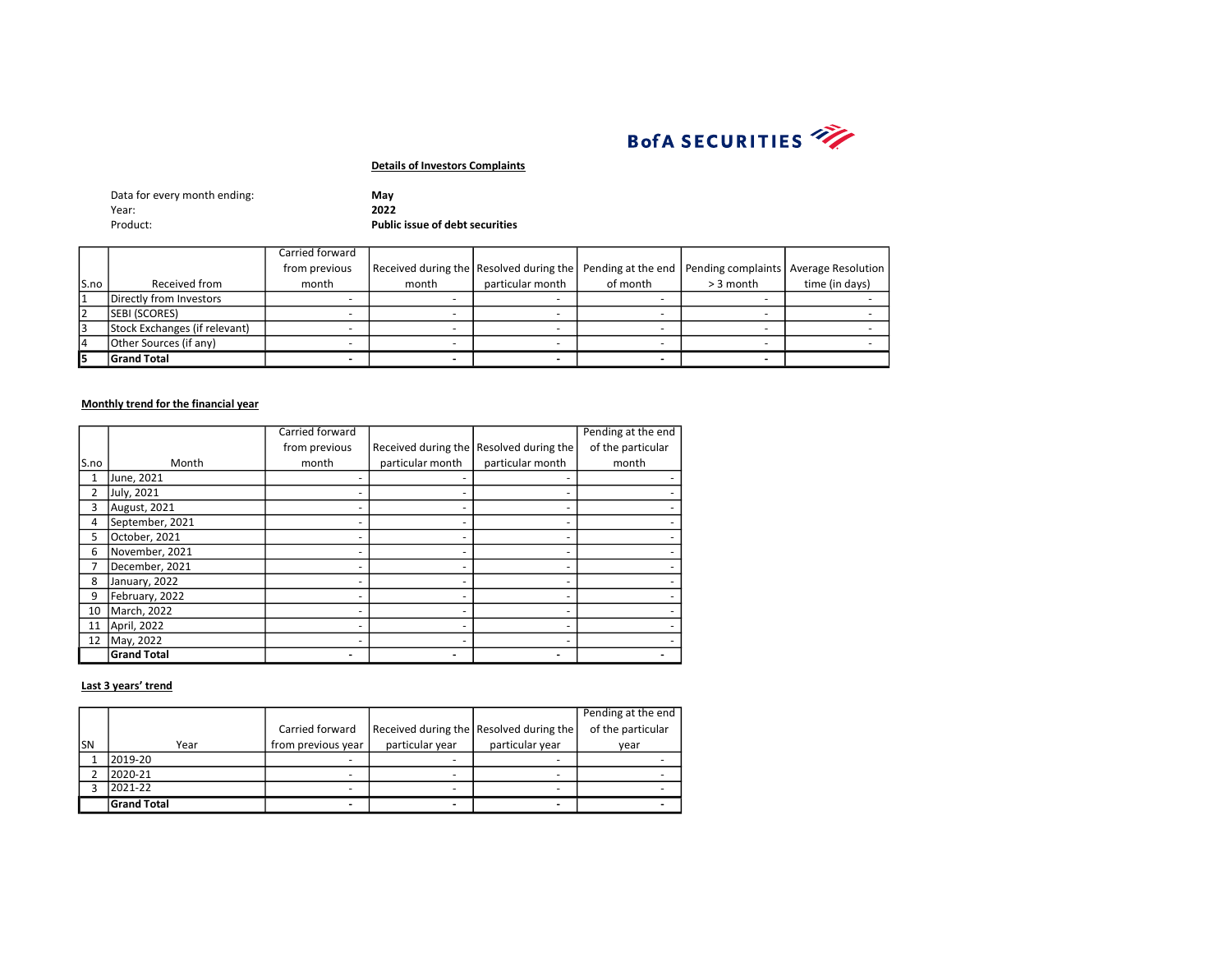

| Data for every month ending: | Mav                                    |
|------------------------------|----------------------------------------|
| Year:                        | 2022                                   |
| Product:                     | <b>Public issue of debt securities</b> |

|       |                               | Carried forward |                                         |                  |          |                                                              |                |
|-------|-------------------------------|-----------------|-----------------------------------------|------------------|----------|--------------------------------------------------------------|----------------|
|       |                               | from previous   | Received during the Resolved during the |                  |          | Pending at the end   Pending complaints   Average Resolution |                |
| lS.no | Received from                 | month           | month                                   | particular month | of month | $>$ 3 month                                                  | time (in days) |
|       | Directly from Investors       |                 |                                         |                  |          |                                                              |                |
| 2     | SEBI (SCORES)                 |                 |                                         |                  |          |                                                              |                |
| 3     | Stock Exchanges (if relevant) |                 |                                         |                  |          |                                                              |                |
| 14    | Other Sources (if any)        |                 |                                         |                  |          |                                                              |                |
|       | <b>Grand Total</b>            |                 |                                         |                  |          |                                                              |                |

#### Monthly trend for the financial year

|      |                    | Carried forward |                  |                                         | Pending at the end |
|------|--------------------|-----------------|------------------|-----------------------------------------|--------------------|
|      |                    | from previous   |                  | Received during the Resolved during the | of the particular  |
| S.no | Month              | month           | particular month | particular month                        | month              |
| 1    | June, 2021         |                 |                  |                                         |                    |
|      | July, 2021         |                 |                  |                                         |                    |
| 3    | August, 2021       |                 |                  |                                         |                    |
| 4    | September, 2021    |                 |                  |                                         |                    |
| 5    | October, 2021      |                 |                  |                                         |                    |
| 6    | November, 2021     |                 |                  |                                         |                    |
|      | December, 2021     |                 |                  |                                         |                    |
| 8    | January, 2022      |                 |                  |                                         |                    |
| 9    | February, 2022     |                 |                  |                                         |                    |
| 10   | March, 2022        |                 |                  |                                         |                    |
| 11   | April, 2022        |                 |                  |                                         |                    |
| 12   | May, 2022          |                 |                  |                                         |                    |
|      | <b>Grand Total</b> |                 |                  |                                         |                    |

|     |                    |                    |                 |                                         | Pending at the end |
|-----|--------------------|--------------------|-----------------|-----------------------------------------|--------------------|
|     |                    | Carried forward    |                 | Received during the Resolved during the | of the particular  |
| lsn | Year               | from previous year | particular year | particular year                         | vear               |
|     | 2019-20            | -                  | -               |                                         |                    |
|     | 2020-21            | -                  |                 |                                         |                    |
|     | 2021-22            |                    | -               |                                         |                    |
|     | <b>Grand Total</b> |                    | -               |                                         |                    |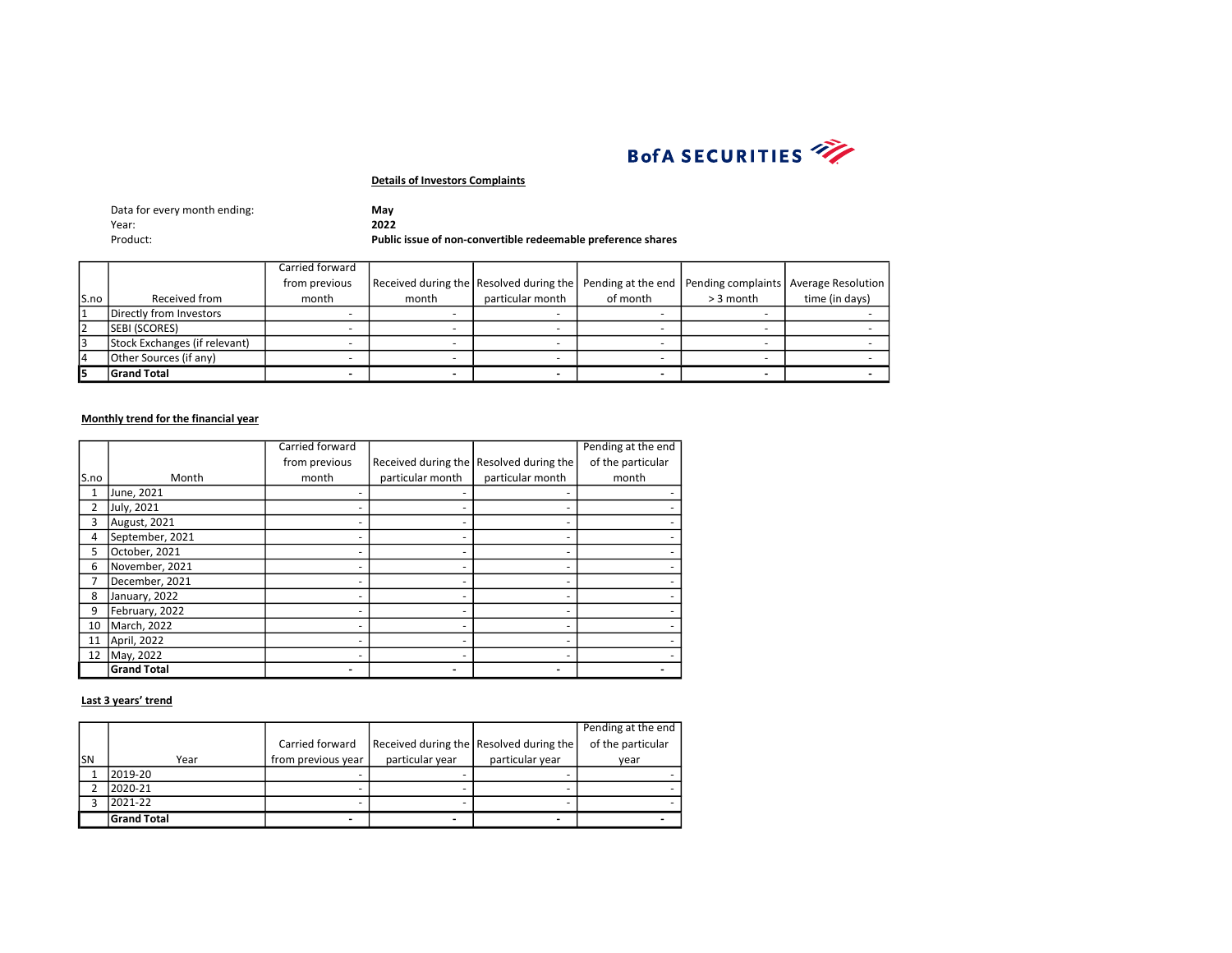

| Data for every month ending: | Mav                                                          |
|------------------------------|--------------------------------------------------------------|
| Year:                        | 2022                                                         |
| Product:                     | Public issue of non-convertible redeemable preference shares |

|       |                               | Carried forward |       |                                         |          |                                                              |                |
|-------|-------------------------------|-----------------|-------|-----------------------------------------|----------|--------------------------------------------------------------|----------------|
|       |                               | from previous   |       | Received during the Resolved during the |          | Pending at the end   Pending complaints   Average Resolution |                |
| ls.no | Received from                 | month           | month | particular month                        | of month | $>$ 3 month                                                  | time (in days) |
|       | Directly from Investors       |                 |       |                                         |          |                                                              |                |
|       | <b>SEBI (SCORES)</b>          |                 |       |                                         |          |                                                              |                |
|       | Stock Exchanges (if relevant) |                 |       |                                         |          |                                                              |                |
| ١4    | Other Sources (if any)        |                 |       |                                         |          |                                                              |                |
|       | <b>Grand Total</b>            |                 |       |                                         |          |                                                              |                |

# Monthly trend for the financial year

|      |                    | Carried forward |                  |                                         | Pending at the end |
|------|--------------------|-----------------|------------------|-----------------------------------------|--------------------|
|      |                    | from previous   |                  | Received during the Resolved during the | of the particular  |
| S.no | Month              | month           | particular month | particular month                        | month              |
|      | June, 2021         |                 |                  |                                         |                    |
| 2    | July, 2021         |                 |                  |                                         |                    |
| 3    | August, 2021       |                 |                  |                                         |                    |
| 4    | September, 2021    |                 |                  |                                         |                    |
| 5    | October, 2021      |                 |                  |                                         |                    |
| 6    | November, 2021     |                 |                  |                                         |                    |
|      | December, 2021     |                 |                  |                                         |                    |
| 8    | January, 2022      |                 |                  |                                         |                    |
| 9    | February, 2022     |                 |                  |                                         |                    |
| 10   | March, 2022        |                 |                  |                                         |                    |
| 11   | April, 2022        |                 |                  |                                         |                    |
| 12   | May, 2022          |                 |                  |                                         |                    |
|      | <b>Grand Total</b> |                 |                  |                                         |                    |

|     |                    |                    |                 |                                         | Pending at the end |
|-----|--------------------|--------------------|-----------------|-----------------------------------------|--------------------|
|     |                    | Carried forward    |                 | Received during the Resolved during the | of the particular  |
| lsn | Year               | from previous year | particular year | particular year                         | year               |
|     | 2019-20            |                    |                 |                                         |                    |
|     | 2020-21            |                    |                 |                                         |                    |
|     | 2021-22            |                    |                 |                                         |                    |
|     | <b>Grand Total</b> |                    |                 |                                         |                    |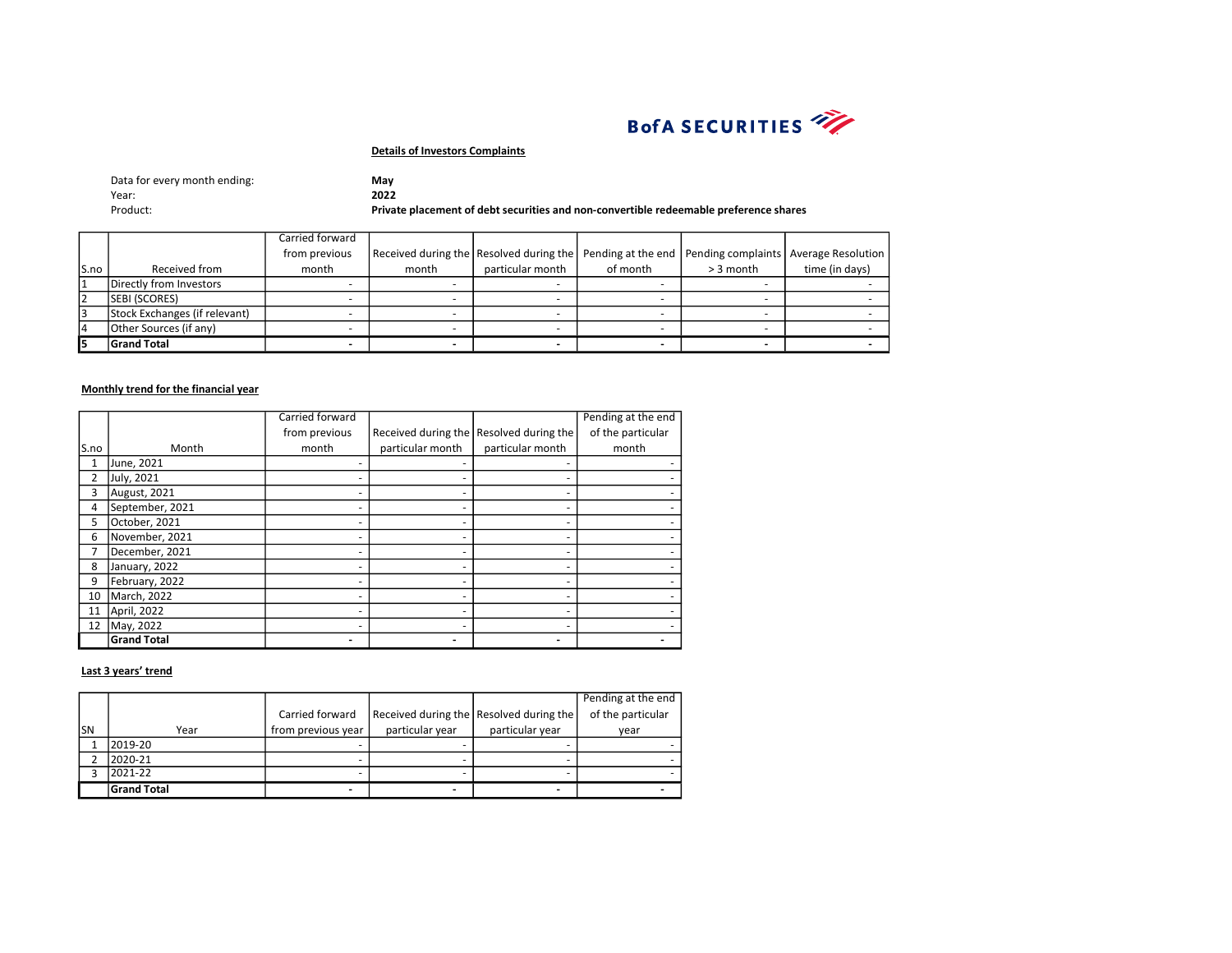

| Data for every month ending: | May                                                                                   |
|------------------------------|---------------------------------------------------------------------------------------|
| Year:                        | 2022                                                                                  |
| Product:                     | Private placement of debt securities and non-convertible redeemable preference shares |

|       |                               | Carried forward |       |                                                                                                        |          |             |                |
|-------|-------------------------------|-----------------|-------|--------------------------------------------------------------------------------------------------------|----------|-------------|----------------|
|       |                               | from previous   |       | Received during the Resolved during the   Pending at the end   Pending complaints   Average Resolution |          |             |                |
| ls.no | Received from                 | month           | month | particular month                                                                                       | of month | $> 3$ month | time (in days) |
|       | Directly from Investors       |                 |       |                                                                                                        |          |             |                |
| 2     | <b>SEBI (SCORES)</b>          |                 |       |                                                                                                        |          |             |                |
| 13    | Stock Exchanges (if relevant) |                 |       |                                                                                                        |          |             |                |
| 14    | Other Sources (if any)        |                 |       |                                                                                                        |          |             |                |
| l5    | <b>Grand Total</b>            |                 |       |                                                                                                        |          |             |                |

### Monthly trend for the financial year

|      |                    | Carried forward |                          |                                         | Pending at the end |
|------|--------------------|-----------------|--------------------------|-----------------------------------------|--------------------|
|      |                    | from previous   |                          | Received during the Resolved during the | of the particular  |
| S.no | Month              | month           | particular month         | particular month                        | month              |
| 1    | June, 2021         |                 |                          |                                         |                    |
| 2    | July, 2021         |                 |                          |                                         |                    |
| 3    | August, 2021       |                 |                          |                                         |                    |
| 4    | September, 2021    |                 |                          |                                         |                    |
| 5    | October, 2021      |                 |                          |                                         |                    |
| 6    | November, 2021     |                 |                          |                                         |                    |
|      | December, 2021     |                 |                          |                                         |                    |
| 8    | January, 2022      |                 |                          | ۰                                       |                    |
| 9    | February, 2022     |                 |                          |                                         |                    |
| 10   | March, 2022        |                 |                          |                                         |                    |
| 11   | April, 2022        |                 |                          | ۰                                       |                    |
| 12   | May, 2022          |                 |                          |                                         |                    |
|      | <b>Grand Total</b> |                 | $\overline{\phantom{0}}$ |                                         |                    |

|     |                    |                    |                 |                                         | Pending at the end |
|-----|--------------------|--------------------|-----------------|-----------------------------------------|--------------------|
|     |                    | Carried forward    |                 | Received during the Resolved during the | of the particular  |
| lsn | Year               | from previous year | particular year | particular year                         | year               |
|     | 2019-20            |                    |                 |                                         |                    |
|     | 2020-21            |                    |                 |                                         |                    |
|     | 2021-22            |                    |                 |                                         |                    |
|     | <b>Grand Total</b> | -                  |                 |                                         |                    |